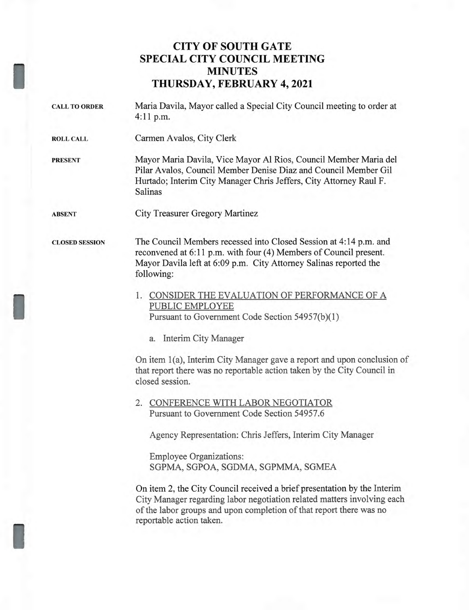## **CITY OF SOUTH GATE SPECIAL CITY COUNCIL MEETING MINUTES THURSDAY, FEBRUARY 4, 2021**

I

I

I

| <b>CALL TO ORDER</b>  | Maria Davila, Mayor called a Special City Council meeting to order at<br>$4:11$ p.m.                                                                                                                                                                                        |
|-----------------------|-----------------------------------------------------------------------------------------------------------------------------------------------------------------------------------------------------------------------------------------------------------------------------|
| <b>ROLL CALL</b>      | Carmen Avalos, City Clerk                                                                                                                                                                                                                                                   |
| <b>PRESENT</b>        | Mayor Maria Davila, Vice Mayor Al Rios, Council Member Maria del<br>Pilar Avalos, Council Member Denise Diaz and Council Member Gil<br>Hurtado; Interim City Manager Chris Jeffers, City Attorney Raul F.<br>Salinas                                                        |
| <b>ABSENT</b>         | City Treasurer Gregory Martinez                                                                                                                                                                                                                                             |
| <b>CLOSED SESSION</b> | The Council Members recessed into Closed Session at 4:14 p.m. and<br>reconvened at 6:11 p.m. with four (4) Members of Council present.<br>Mayor Davila left at 6:09 p.m. City Attorney Salinas reported the<br>following:<br>1. CONSIDER THE EVALUATION OF PERFORMANCE OF A |
|                       | PUBLIC EMPLOYEE<br>Pursuant to Government Code Section 54957(b)(1)                                                                                                                                                                                                          |
|                       | a. Interim City Manager                                                                                                                                                                                                                                                     |
|                       | On item 1(a), Interim City Manager gave a report and upon conclusion of<br>that report there was no reportable action taken by the City Council in<br>closed session.                                                                                                       |
|                       | 2. CONFERENCE WITH LABOR NEGOTIATOR<br>Pursuant to Government Code Section 54957.6                                                                                                                                                                                          |
|                       | Agency Representation: Chris Jeffers, Interim City Manager                                                                                                                                                                                                                  |
|                       | <b>Employee Organizations:</b><br>SGPMA, SGPOA, SGDMA, SGPMMA, SGMEA                                                                                                                                                                                                        |
|                       | On item 2, the City Council measured a build proposate tion by the Interim                                                                                                                                                                                                  |

On item 2, the City Council received a brief presentation by the Interim City Manager regarding labor negotiation related matters involving each of the labor groups and upon completion of that report there was no reportable action taken.